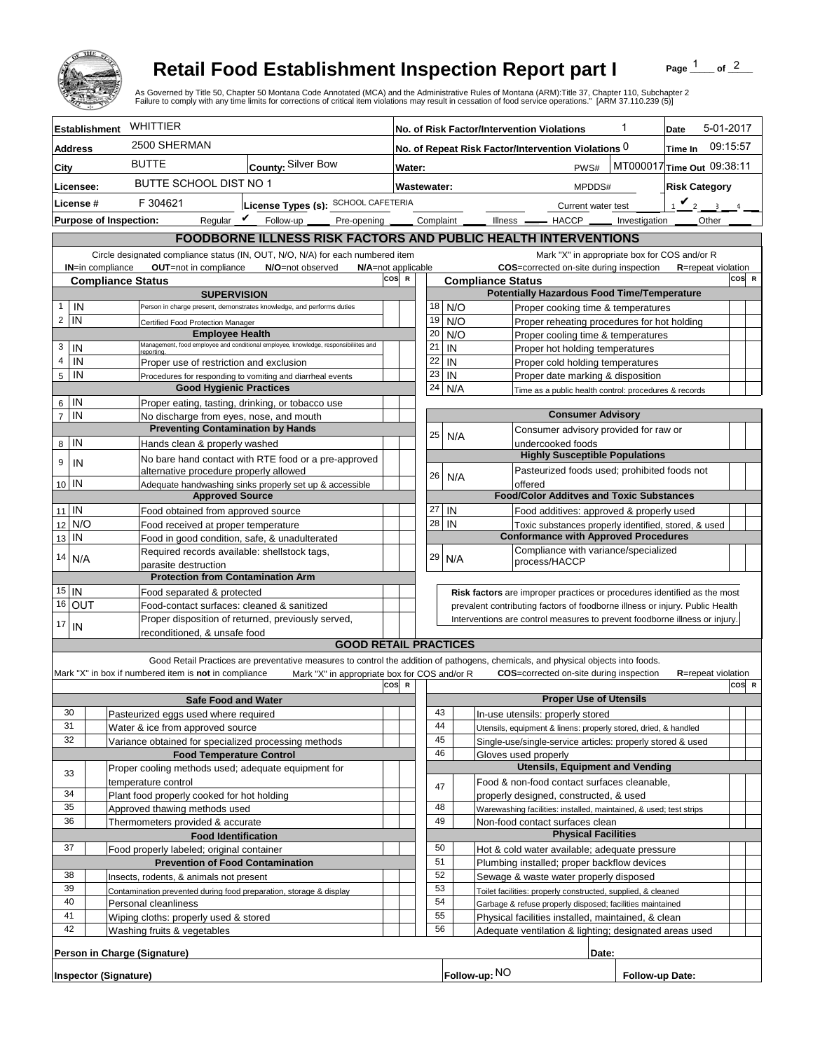

## **Retail Food Establishment Inspection Report part I**

Page  $\frac{1}{1}$  of  $\frac{2}{1}$ 

|                                                                                                                                |                                                                                                                                                      |                                                                                    | <b>Retail Food Establishment Inspection Report part I</b><br>As Governed by Title 50, Chapter 50 Montana Code Annotated (MCA) and the Administrative Rules of Montana (ARM):Title 37, Chapter 110, Subchapter 2<br>Failure to comply with any time limits for corrections of critical item violations may result in cessation of food service operations." [ARM 37.110.239 (5)] |     |             |                                                                                                   |                                                                    |                                                           |                                                                                       |                 | Page                       | of $^2$        |       |
|--------------------------------------------------------------------------------------------------------------------------------|------------------------------------------------------------------------------------------------------------------------------------------------------|------------------------------------------------------------------------------------|---------------------------------------------------------------------------------------------------------------------------------------------------------------------------------------------------------------------------------------------------------------------------------------------------------------------------------------------------------------------------------|-----|-------------|---------------------------------------------------------------------------------------------------|--------------------------------------------------------------------|-----------------------------------------------------------|---------------------------------------------------------------------------------------|-----------------|----------------------------|----------------|-------|
|                                                                                                                                | <b>Establishment</b>                                                                                                                                 | WHITTIER                                                                           |                                                                                                                                                                                                                                                                                                                                                                                 |     |             |                                                                                                   |                                                                    | No. of Risk Factor/Intervention Violations                |                                                                                       | 1               | Date                       | 5-01-2017      |       |
| <b>Address</b>                                                                                                                 |                                                                                                                                                      | 2500 SHERMAN                                                                       |                                                                                                                                                                                                                                                                                                                                                                                 |     |             |                                                                                                   |                                                                    |                                                           | No. of Repeat Risk Factor/Intervention Violations 0                                   |                 | Time In                    | 09:15:57       |       |
| City                                                                                                                           |                                                                                                                                                      | <b>BUTTE</b>                                                                       | County: Silver Bow                                                                                                                                                                                                                                                                                                                                                              |     | Water:      |                                                                                                   |                                                                    |                                                           | PWS#                                                                                  |                 | MT000017 Time Out 09:38:11 |                |       |
| Licensee:                                                                                                                      |                                                                                                                                                      |                                                                                    | BUTTE SCHOOL DIST NO 1                                                                                                                                                                                                                                                                                                                                                          |     |             |                                                                                                   |                                                                    |                                                           | <b>Risk Category</b><br>MPDDS#                                                        |                 |                            |                |       |
| License #                                                                                                                      |                                                                                                                                                      | F 304621<br>License Types (s): SCHOOL CAFETERIA                                    |                                                                                                                                                                                                                                                                                                                                                                                 |     | Wastewater: |                                                                                                   |                                                                    |                                                           |                                                                                       |                 |                            | $\overline{3}$ |       |
|                                                                                                                                |                                                                                                                                                      |                                                                                    | Regular $\mathbf{\underline{\mathit{v}}}$<br>Follow-up                                                                                                                                                                                                                                                                                                                          |     |             |                                                                                                   |                                                                    |                                                           | Current water test<br>Illness <u>- HACCP</u> -<br>Investigation                       |                 |                            |                |       |
|                                                                                                                                | Pre-opening ______ Complaint ____<br>Other<br><b>Purpose of Inspection:</b><br><b>FOODBORNE ILLNESS RISK FACTORS AND PUBLIC HEALTH INTERVENTIONS</b> |                                                                                    |                                                                                                                                                                                                                                                                                                                                                                                 |     |             |                                                                                                   |                                                                    |                                                           |                                                                                       |                 |                            |                |       |
| Circle designated compliance status (IN, OUT, N/O, N/A) for each numbered item<br>Mark "X" in appropriate box for COS and/or R |                                                                                                                                                      |                                                                                    |                                                                                                                                                                                                                                                                                                                                                                                 |     |             |                                                                                                   |                                                                    |                                                           |                                                                                       |                 |                            |                |       |
| OUT=not in compliance<br>IN=in compliance<br>N/O=not observed<br>N/A=not applicable                                            |                                                                                                                                                      |                                                                                    |                                                                                                                                                                                                                                                                                                                                                                                 |     |             |                                                                                                   |                                                                    |                                                           | COS=corrected on-site during inspection                                               |                 | <b>R</b> =repeat violation |                |       |
| cos<br><b>Compliance Status</b>                                                                                                |                                                                                                                                                      |                                                                                    |                                                                                                                                                                                                                                                                                                                                                                                 |     |             |                                                                                                   |                                                                    | <b>Compliance Status</b>                                  |                                                                                       |                 |                            |                | COS R |
| IN<br>1                                                                                                                        |                                                                                                                                                      | <b>SUPERVISION</b>                                                                 | Person in charge present, demonstrates knowledge, and performs duties                                                                                                                                                                                                                                                                                                           |     |             | 18                                                                                                |                                                                    | N/O                                                       | <b>Potentially Hazardous Food Time/Temperature</b>                                    |                 |                            |                |       |
| IN<br>2                                                                                                                        |                                                                                                                                                      | Certified Food Protection Manager                                                  |                                                                                                                                                                                                                                                                                                                                                                                 |     |             | 19                                                                                                |                                                                    | N/O                                                       | Proper cooking time & temperatures<br>Proper reheating procedures for hot holding     |                 |                            |                |       |
|                                                                                                                                |                                                                                                                                                      | <b>Employee Health</b>                                                             |                                                                                                                                                                                                                                                                                                                                                                                 |     |             | 20                                                                                                |                                                                    | N/O                                                       | Proper cooling time & temperatures                                                    |                 |                            |                |       |
| IN<br>3                                                                                                                        |                                                                                                                                                      |                                                                                    | Management, food employee and conditional employee, knowledge, responsibiliites and                                                                                                                                                                                                                                                                                             |     |             | 21                                                                                                | IN                                                                 |                                                           | Proper hot holding temperatures                                                       |                 |                            |                |       |
| 4<br>IN                                                                                                                        |                                                                                                                                                      | Proper use of restriction and exclusion                                            |                                                                                                                                                                                                                                                                                                                                                                                 |     |             | 22                                                                                                | IN                                                                 |                                                           | Proper cold holding temperatures                                                      |                 |                            |                |       |
| IN<br>5                                                                                                                        |                                                                                                                                                      | <b>Good Hygienic Practices</b>                                                     | Procedures for responding to vomiting and diarrheal events                                                                                                                                                                                                                                                                                                                      |     |             | 23<br>24                                                                                          | IN                                                                 |                                                           | Proper date marking & disposition                                                     |                 |                            |                |       |
| IN<br>6                                                                                                                        |                                                                                                                                                      | Proper eating, tasting, drinking, or tobacco use                                   |                                                                                                                                                                                                                                                                                                                                                                                 |     |             |                                                                                                   |                                                                    | N/A                                                       | Time as a public health control: procedures & records                                 |                 |                            |                |       |
| IN<br>$\overline{7}$                                                                                                           |                                                                                                                                                      | No discharge from eyes, nose, and mouth                                            |                                                                                                                                                                                                                                                                                                                                                                                 |     |             |                                                                                                   |                                                                    |                                                           | <b>Consumer Advisory</b>                                                              |                 |                            |                |       |
|                                                                                                                                |                                                                                                                                                      |                                                                                    | <b>Preventing Contamination by Hands</b>                                                                                                                                                                                                                                                                                                                                        |     |             | 25                                                                                                |                                                                    | N/A                                                       | Consumer advisory provided for raw or                                                 |                 |                            |                |       |
| IN<br>8                                                                                                                        |                                                                                                                                                      | Hands clean & properly washed                                                      |                                                                                                                                                                                                                                                                                                                                                                                 |     |             |                                                                                                   |                                                                    |                                                           | undercooked foods                                                                     |                 |                            |                |       |
| 9<br>IN                                                                                                                        |                                                                                                                                                      |                                                                                    | No bare hand contact with RTE food or a pre-approved                                                                                                                                                                                                                                                                                                                            |     |             |                                                                                                   |                                                                    |                                                           | <b>Highly Susceptible Populations</b>                                                 |                 |                            |                |       |
| 10 IN                                                                                                                          |                                                                                                                                                      | alternative procedure properly allowed                                             | Adequate handwashing sinks properly set up & accessible                                                                                                                                                                                                                                                                                                                         |     |             | 26                                                                                                |                                                                    | N/A                                                       | Pasteurized foods used; prohibited foods not<br>offered                               |                 |                            |                |       |
|                                                                                                                                |                                                                                                                                                      | <b>Approved Source</b>                                                             |                                                                                                                                                                                                                                                                                                                                                                                 |     |             |                                                                                                   |                                                                    |                                                           | <b>Food/Color Additves and Toxic Substances</b>                                       |                 |                            |                |       |
| l IN<br>11                                                                                                                     |                                                                                                                                                      | Food obtained from approved source                                                 |                                                                                                                                                                                                                                                                                                                                                                                 |     |             | 27                                                                                                | IN                                                                 |                                                           | Food additives: approved & properly used                                              |                 |                            |                |       |
| 12                                                                                                                             | N/O                                                                                                                                                  | Food received at proper temperature                                                |                                                                                                                                                                                                                                                                                                                                                                                 |     |             | 28                                                                                                | IN                                                                 |                                                           | Toxic substances properly identified, stored, & used                                  |                 |                            |                |       |
| IN<br>13                                                                                                                       |                                                                                                                                                      | Food in good condition, safe, & unadulterated                                      |                                                                                                                                                                                                                                                                                                                                                                                 |     |             |                                                                                                   |                                                                    |                                                           | <b>Conformance with Approved Procedures</b><br>Compliance with variance/specialized   |                 |                            |                |       |
| 14                                                                                                                             | N/A                                                                                                                                                  | Required records available: shellstock tags,<br>parasite destruction               |                                                                                                                                                                                                                                                                                                                                                                                 |     |             | 29                                                                                                |                                                                    | N/A                                                       | process/HACCP                                                                         |                 |                            |                |       |
|                                                                                                                                |                                                                                                                                                      | <b>Protection from Contamination Arm</b>                                           |                                                                                                                                                                                                                                                                                                                                                                                 |     |             |                                                                                                   |                                                                    |                                                           |                                                                                       |                 |                            |                |       |
| $15$   IN                                                                                                                      |                                                                                                                                                      | Food separated & protected                                                         |                                                                                                                                                                                                                                                                                                                                                                                 |     |             | Risk factors are improper practices or procedures identified as the most                          |                                                                    |                                                           |                                                                                       |                 |                            |                |       |
| 16 OUT                                                                                                                         |                                                                                                                                                      | Food-contact surfaces: cleaned & sanitized                                         |                                                                                                                                                                                                                                                                                                                                                                                 |     |             | prevalent contributing factors of foodborne illness or injury. Public Health                      |                                                                    |                                                           |                                                                                       |                 |                            |                |       |
| 17<br>IN                                                                                                                       |                                                                                                                                                      | Proper disposition of returned, previously served,                                 |                                                                                                                                                                                                                                                                                                                                                                                 |     |             | Interventions are control measures to prevent foodborne illness or injury.                        |                                                                    |                                                           |                                                                                       |                 |                            |                |       |
|                                                                                                                                |                                                                                                                                                      | reconditioned, & unsafe food                                                       | <b>GOOD RETAIL PRACTICES</b>                                                                                                                                                                                                                                                                                                                                                    |     |             |                                                                                                   |                                                                    |                                                           |                                                                                       |                 |                            |                |       |
|                                                                                                                                |                                                                                                                                                      |                                                                                    | Good Retail Practices are preventative measures to control the addition of pathogens, chemicals, and physical objects into foods.                                                                                                                                                                                                                                               |     |             |                                                                                                   |                                                                    |                                                           |                                                                                       |                 |                            |                |       |
|                                                                                                                                |                                                                                                                                                      | Mark "X" in box if numbered item is not in compliance                              | Mark "X" in appropriate box for COS and/or R                                                                                                                                                                                                                                                                                                                                    |     |             |                                                                                                   |                                                                    |                                                           | <b>COS</b> =corrected on-site during inspection                                       |                 | <b>R</b> =repeat violation |                |       |
|                                                                                                                                |                                                                                                                                                      |                                                                                    |                                                                                                                                                                                                                                                                                                                                                                                 | cos |             |                                                                                                   |                                                                    |                                                           |                                                                                       |                 |                            |                | COS R |
| 30                                                                                                                             |                                                                                                                                                      | <b>Safe Food and Water</b><br>Pasteurized eggs used where required                 |                                                                                                                                                                                                                                                                                                                                                                                 |     |             |                                                                                                   | 43                                                                 |                                                           | <b>Proper Use of Utensils</b><br>In-use utensils: properly stored                     |                 |                            |                |       |
| 31                                                                                                                             |                                                                                                                                                      | Water & ice from approved source                                                   |                                                                                                                                                                                                                                                                                                                                                                                 |     |             |                                                                                                   | 44                                                                 |                                                           | Utensils, equipment & linens: properly stored, dried, & handled                       |                 |                            |                |       |
| 32                                                                                                                             |                                                                                                                                                      | Variance obtained for specialized processing methods                               |                                                                                                                                                                                                                                                                                                                                                                                 |     |             |                                                                                                   | 45                                                                 |                                                           | Single-use/single-service articles: properly stored & used                            |                 |                            |                |       |
|                                                                                                                                |                                                                                                                                                      | <b>Food Temperature Control</b>                                                    |                                                                                                                                                                                                                                                                                                                                                                                 |     |             |                                                                                                   | 46                                                                 |                                                           | Gloves used properly                                                                  |                 |                            |                |       |
| 33                                                                                                                             |                                                                                                                                                      | Proper cooling methods used; adequate equipment for                                |                                                                                                                                                                                                                                                                                                                                                                                 |     |             |                                                                                                   |                                                                    |                                                           | <b>Utensils, Equipment and Vending</b>                                                |                 |                            |                |       |
| 34                                                                                                                             |                                                                                                                                                      | temperature control<br>Plant food properly cooked for hot holding                  |                                                                                                                                                                                                                                                                                                                                                                                 |     |             |                                                                                                   | 47                                                                 |                                                           | Food & non-food contact surfaces cleanable,<br>properly designed, constructed, & used |                 |                            |                |       |
| 35                                                                                                                             |                                                                                                                                                      | Approved thawing methods used                                                      |                                                                                                                                                                                                                                                                                                                                                                                 |     |             |                                                                                                   | 48                                                                 |                                                           | Warewashing facilities: installed, maintained, & used; test strips                    |                 |                            |                |       |
| 36                                                                                                                             |                                                                                                                                                      | Thermometers provided & accurate                                                   |                                                                                                                                                                                                                                                                                                                                                                                 |     |             |                                                                                                   | 49                                                                 |                                                           | Non-food contact surfaces clean                                                       |                 |                            |                |       |
|                                                                                                                                |                                                                                                                                                      | <b>Food Identification</b>                                                         |                                                                                                                                                                                                                                                                                                                                                                                 |     |             | <b>Physical Facilities</b>                                                                        |                                                                    |                                                           |                                                                                       |                 |                            |                |       |
| 37<br>Food properly labeled; original container                                                                                |                                                                                                                                                      |                                                                                    |                                                                                                                                                                                                                                                                                                                                                                                 |     |             |                                                                                                   | 50                                                                 |                                                           | Hot & cold water available; adequate pressure                                         |                 |                            |                |       |
| 38                                                                                                                             |                                                                                                                                                      | <b>Prevention of Food Contamination</b><br>Insects, rodents, & animals not present |                                                                                                                                                                                                                                                                                                                                                                                 |     |             | 51<br>Plumbing installed; proper backflow devices<br>52<br>Sewage & waste water properly disposed |                                                                    |                                                           |                                                                                       |                 |                            |                |       |
| 39                                                                                                                             |                                                                                                                                                      | Contamination prevented during food preparation, storage & display                 |                                                                                                                                                                                                                                                                                                                                                                                 |     |             |                                                                                                   | 53<br>Toilet facilities: properly constructed, supplied, & cleaned |                                                           |                                                                                       |                 |                            |                |       |
| 40                                                                                                                             |                                                                                                                                                      | Personal cleanliness                                                               |                                                                                                                                                                                                                                                                                                                                                                                 |     |             |                                                                                                   | 54                                                                 | Garbage & refuse properly disposed; facilities maintained |                                                                                       |                 |                            |                |       |
| 41                                                                                                                             |                                                                                                                                                      | Wiping cloths: properly used & stored                                              |                                                                                                                                                                                                                                                                                                                                                                                 |     |             |                                                                                                   | 55                                                                 |                                                           | Physical facilities installed, maintained, & clean                                    |                 |                            |                |       |
| 42                                                                                                                             |                                                                                                                                                      | Washing fruits & vegetables                                                        |                                                                                                                                                                                                                                                                                                                                                                                 |     |             |                                                                                                   | 56                                                                 |                                                           | Adequate ventilation & lighting; designated areas used                                |                 |                            |                |       |
|                                                                                                                                |                                                                                                                                                      | Person in Charge (Signature)                                                       |                                                                                                                                                                                                                                                                                                                                                                                 |     |             |                                                                                                   |                                                                    |                                                           | Date:                                                                                 |                 |                            |                |       |
|                                                                                                                                |                                                                                                                                                      | <b>Inspector (Signature)</b>                                                       |                                                                                                                                                                                                                                                                                                                                                                                 |     |             |                                                                                                   |                                                                    | Follow-up: NO                                             |                                                                                       | Follow-up Date: |                            |                |       |